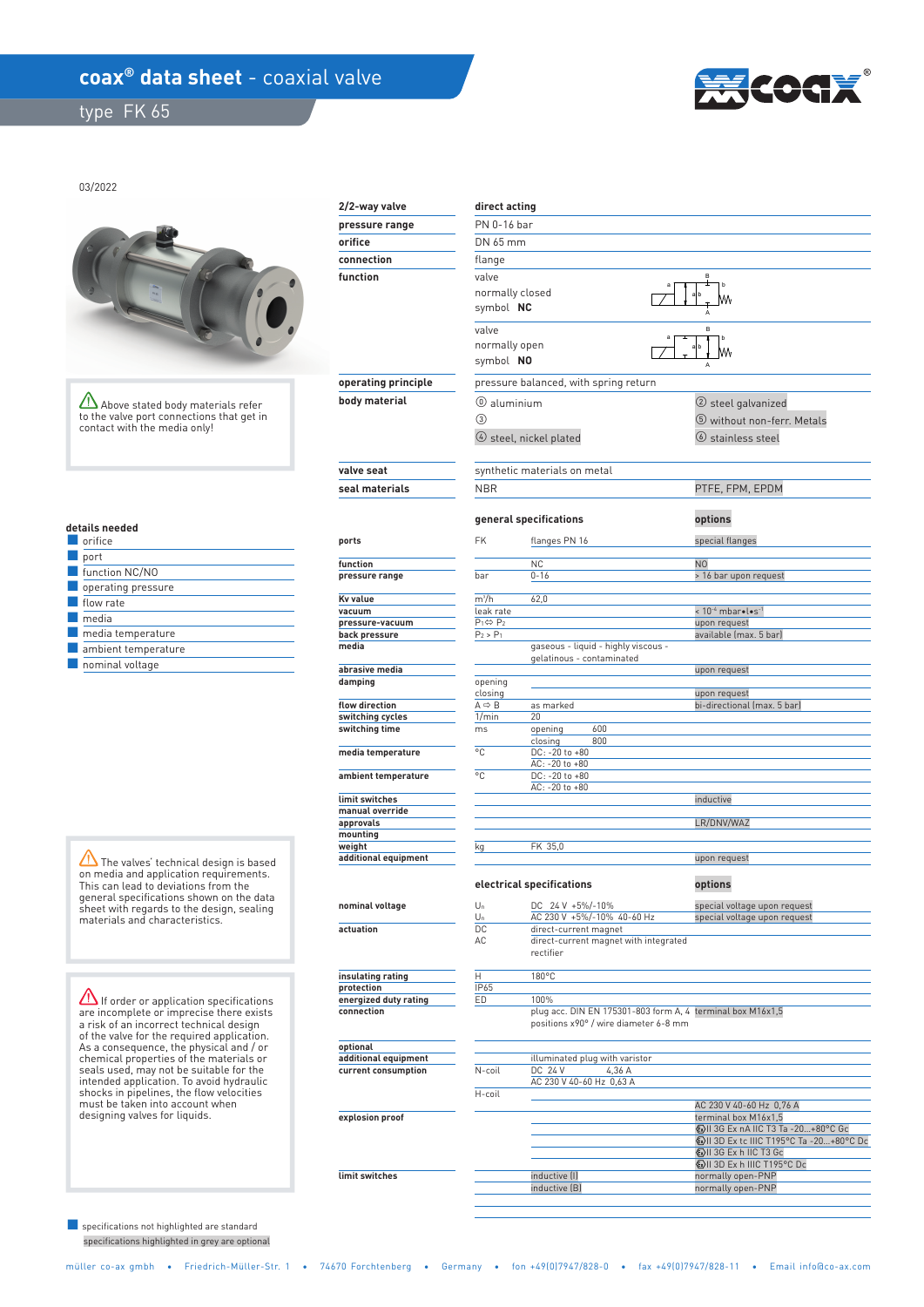## coax<sup>®</sup> data sheet - coaxial valve

type FK 65



03/2022



Above stated body materials refer to the valve port connections that get in contact with the media only!

|  | details needed |
|--|----------------|
|  |                |

| orifice                   |
|---------------------------|
| port                      |
| function NC/NO            |
| $\Box$ operating pressure |
| flow rate                 |
| media                     |
| media temperature         |
| ambient temperature       |
| $\Box$ nominal voltage    |

 $\sqrt{N}$  The valves' technical design is based on media and application requirements. This can lead to deviations from the general specifications shown on the data sheet with regards to the design, sealing materials and characteristics.

**If order or application specifications** are incomplete or imprecise there exists a risk of an incorrect technical design of the valve for the required application. As a consequence, the physical and / or chemical properties of the materials or seals used, may not be suitable for the intended application. To avoid hydraulic shocks in pipelines, the flow velocities must be taken into account when designing valves for liquids.

 specifications highlighted in grey are optional ■ specifications not highlighted are standard

| 2/2-way valve                                                | direct acting                          |                                                                                                     |                                                                         |  |  |
|--------------------------------------------------------------|----------------------------------------|-----------------------------------------------------------------------------------------------------|-------------------------------------------------------------------------|--|--|
| pressure range                                               | PN 0-16 bar                            |                                                                                                     |                                                                         |  |  |
| orifice                                                      | DN 65 mm                               |                                                                                                     |                                                                         |  |  |
| connection                                                   | flange                                 |                                                                                                     |                                                                         |  |  |
| function                                                     | valve                                  |                                                                                                     |                                                                         |  |  |
|                                                              | normally closed                        |                                                                                                     |                                                                         |  |  |
|                                                              | symbol NC                              |                                                                                                     |                                                                         |  |  |
|                                                              | valve                                  |                                                                                                     |                                                                         |  |  |
|                                                              | normally open                          |                                                                                                     | M٨                                                                      |  |  |
|                                                              |                                        | symbol NO                                                                                           |                                                                         |  |  |
| operating principle<br>pressure balanced, with spring return |                                        |                                                                                                     |                                                                         |  |  |
| body material                                                | $@$ aluminium                          |                                                                                                     | (2) steel galvanized                                                    |  |  |
|                                                              | $\circled{3}$                          |                                                                                                     | 5 without non-ferr. Metals                                              |  |  |
|                                                              |                                        | $\circ$ steel, nickel plated                                                                        | $\circledcirc$ stainless steel                                          |  |  |
|                                                              |                                        |                                                                                                     |                                                                         |  |  |
| valve seat                                                   |                                        | synthetic materials on metal                                                                        |                                                                         |  |  |
| seal materials                                               | <b>NBR</b>                             |                                                                                                     | PTFE, FPM, EPDM                                                         |  |  |
|                                                              |                                        |                                                                                                     |                                                                         |  |  |
|                                                              |                                        | general specifications                                                                              | options                                                                 |  |  |
| ports                                                        | <b>FK</b>                              | flanges PN 16                                                                                       | special flanges                                                         |  |  |
|                                                              |                                        |                                                                                                     |                                                                         |  |  |
| function                                                     |                                        | <b>NC</b>                                                                                           | N <sub>0</sub>                                                          |  |  |
| pressure range                                               | bar                                    | $0 - 16$                                                                                            | > 16 bar upon request                                                   |  |  |
| Kv value                                                     | $m^3/h$                                | 62,0                                                                                                |                                                                         |  |  |
| vacuum<br>pressure-vacuum                                    | leak rate<br>$P_1 \Leftrightarrow P_2$ |                                                                                                     | < 10-4 mbar .l.s-1<br>upon request                                      |  |  |
| back pressure                                                | $P_2 > P_1$                            |                                                                                                     | available (max. 5 bar)                                                  |  |  |
| media                                                        |                                        | gaseous - liquid - highly viscous -                                                                 |                                                                         |  |  |
| abrasive media                                               |                                        | gelatinous - contaminated                                                                           | upon request                                                            |  |  |
| damping                                                      | opening                                |                                                                                                     |                                                                         |  |  |
| flow direction                                               | closing<br>$A \Rightarrow B$           | as marked                                                                                           | upon request<br>bi-directional (max. 5 bar)                             |  |  |
| switching cycles                                             | 1/min                                  | 20                                                                                                  |                                                                         |  |  |
| switching time                                               | ms                                     | 600<br>opening                                                                                      |                                                                         |  |  |
| media temperature                                            | °C                                     | 800<br>closing<br>DC: -20 to +80                                                                    |                                                                         |  |  |
|                                                              |                                        | AC: -20 to +80                                                                                      |                                                                         |  |  |
| ambient temperature                                          | °C                                     | DC: -20 to +80<br>AC: -20 to +80                                                                    |                                                                         |  |  |
| limit switches                                               |                                        |                                                                                                     | inductive                                                               |  |  |
| manual override<br>approvals                                 |                                        |                                                                                                     | LR/DNV/WAZ                                                              |  |  |
| mounting                                                     |                                        |                                                                                                     |                                                                         |  |  |
| weight                                                       | kg                                     | FK 35,0                                                                                             |                                                                         |  |  |
| additional equipment                                         |                                        |                                                                                                     | upon request                                                            |  |  |
|                                                              |                                        | electrical specifications                                                                           | options                                                                 |  |  |
| nominal voltage                                              | $U_n$                                  | DC 24 V +5%/-10%                                                                                    | special voltage upon request                                            |  |  |
|                                                              | Un                                     | AC 230 V +5%/-10% 40-60 Hz                                                                          | special voltage upon request                                            |  |  |
| actuation                                                    | DC<br>AC                               | direct-current magnet<br>direct-current magnet with integrated                                      |                                                                         |  |  |
|                                                              |                                        | rectifier                                                                                           |                                                                         |  |  |
|                                                              |                                        |                                                                                                     |                                                                         |  |  |
| insulating rating<br>protection                              | Η<br>IP65                              | 180°C                                                                                               |                                                                         |  |  |
| energized duty rating                                        | ED                                     | 100%                                                                                                |                                                                         |  |  |
| connection                                                   |                                        | plug acc. DIN EN 175301-803 form A, 4 terminal box M16x1,5<br>positions x90° / wire diameter 6-8 mm |                                                                         |  |  |
|                                                              |                                        |                                                                                                     |                                                                         |  |  |
| optional                                                     |                                        |                                                                                                     |                                                                         |  |  |
| additional equipment<br>current consumption                  | N-coil                                 | illuminated plug with varistor<br>DC 24 V<br>4,36 A                                                 |                                                                         |  |  |
|                                                              |                                        | AC 230 V 40-60 Hz 0,63 A                                                                            |                                                                         |  |  |
|                                                              | H-coil                                 |                                                                                                     | AC 230 V 40-60 Hz 0,76 A                                                |  |  |
| explosion proof                                              |                                        |                                                                                                     | terminal box M16x1,5                                                    |  |  |
|                                                              |                                        |                                                                                                     | ⓒII 3G Ex nA IIC T3 Ta -20+80°C Gc                                      |  |  |
|                                                              |                                        |                                                                                                     | <b>WII 3D Ex tc IIIC T195°C Ta -20+80°C Dc</b><br>ⓒII 3G Ex h IIC T3 Gc |  |  |
|                                                              |                                        |                                                                                                     | WII 3D Ex h IIIC T195°C Dc                                              |  |  |
| limit switches                                               |                                        | inductive (I)<br>inductive (B)                                                                      | normally open-PNP<br>normally open-PNP                                  |  |  |
|                                                              |                                        |                                                                                                     |                                                                         |  |  |